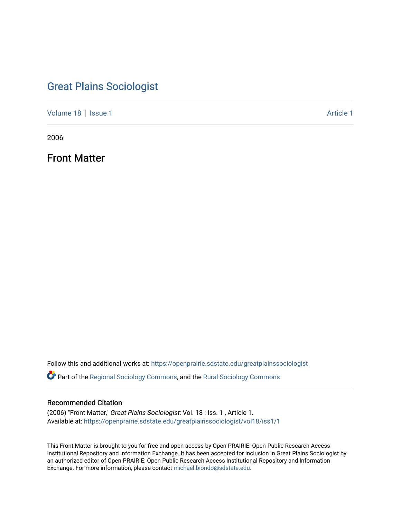## [Great Plains Sociologist](https://openprairie.sdstate.edu/greatplainssociologist)

[Volume 18](https://openprairie.sdstate.edu/greatplainssociologist/vol18) | [Issue 1](https://openprairie.sdstate.edu/greatplainssociologist/vol18/iss1) Article 1

2006

Front Matter

Follow this and additional works at: [https://openprairie.sdstate.edu/greatplainssociologist](https://openprairie.sdstate.edu/greatplainssociologist?utm_source=openprairie.sdstate.edu%2Fgreatplainssociologist%2Fvol18%2Fiss1%2F1&utm_medium=PDF&utm_campaign=PDFCoverPages) 

Part of the [Regional Sociology Commons](http://network.bepress.com/hgg/discipline/427?utm_source=openprairie.sdstate.edu%2Fgreatplainssociologist%2Fvol18%2Fiss1%2F1&utm_medium=PDF&utm_campaign=PDFCoverPages), and the [Rural Sociology Commons](http://network.bepress.com/hgg/discipline/428?utm_source=openprairie.sdstate.edu%2Fgreatplainssociologist%2Fvol18%2Fiss1%2F1&utm_medium=PDF&utm_campaign=PDFCoverPages) 

#### Recommended Citation

(2006) "Front Matter," Great Plains Sociologist: Vol. 18 : Iss. 1 , Article 1. Available at: [https://openprairie.sdstate.edu/greatplainssociologist/vol18/iss1/1](https://openprairie.sdstate.edu/greatplainssociologist/vol18/iss1/1?utm_source=openprairie.sdstate.edu%2Fgreatplainssociologist%2Fvol18%2Fiss1%2F1&utm_medium=PDF&utm_campaign=PDFCoverPages)

This Front Matter is brought to you for free and open access by Open PRAIRIE: Open Public Research Access Institutional Repository and Information Exchange. It has been accepted for inclusion in Great Plains Sociologist by an authorized editor of Open PRAIRIE: Open Public Research Access Institutional Repository and Information Exchange. For more information, please contact [michael.biondo@sdstate.edu.](mailto:michael.biondo@sdstate.edu)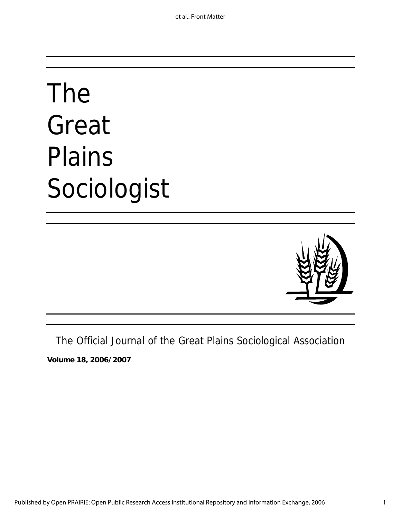# The Great Plains Sociologist



The Official Journal of the Great Plains Sociological Association

**Volume 18, 2006/2007**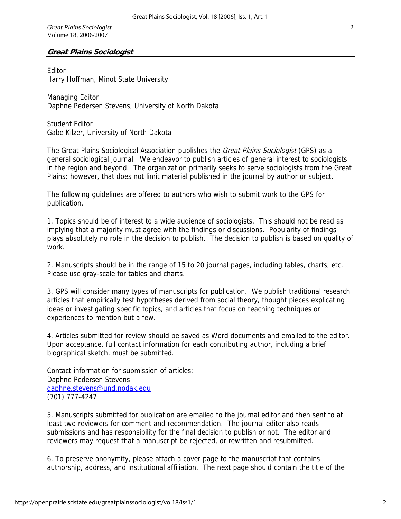*Great Plains Sociologist*  Volume 18, 2006/2007

### **Great Plains Sociologist**

Editor Harry Hoffman, Minot State University

Managing Editor Daphne Pedersen Stevens, University of North Dakota

Student Editor Gabe Kilzer, University of North Dakota

The Great Plains Sociological Association publishes the *Great Plains Sociologist* (GPS) as a general sociological journal. We endeavor to publish articles of general interest to sociologists in the region and beyond. The organization primarily seeks to serve sociologists from the Great Plains; however, that does not limit material published in the journal by author or subject.

The following guidelines are offered to authors who wish to submit work to the GPS for publication.

1. Topics should be of interest to a wide audience of sociologists. This should not be read as implying that a majority must agree with the findings or discussions. Popularity of findings plays absolutely no role in the decision to publish. The decision to publish is based on quality of work.

2. Manuscripts should be in the range of 15 to 20 journal pages, including tables, charts, etc. Please use gray-scale for tables and charts.

3. GPS will consider many types of manuscripts for publication. We publish traditional research articles that empirically test hypotheses derived from social theory, thought pieces explicating ideas or investigating specific topics, and articles that focus on teaching techniques or experiences to mention but a few.

4. Articles submitted for review should be saved as Word documents and emailed to the editor. Upon acceptance, full contact information for each contributing author, including a brief biographical sketch, must be submitted.

Contact information for submission of articles: Daphne Pedersen Stevens daphne.stevens@und.nodak.edu (701) 777-4247

5. Manuscripts submitted for publication are emailed to the journal editor and then sent to at least two reviewers for comment and recommendation. The journal editor also reads submissions and has responsibility for the final decision to publish or not. The editor and reviewers may request that a manuscript be rejected, or rewritten and resubmitted.

6. To preserve anonymity, please attach a cover page to the manuscript that contains authorship, address, and institutional affiliation. The next page should contain the title of the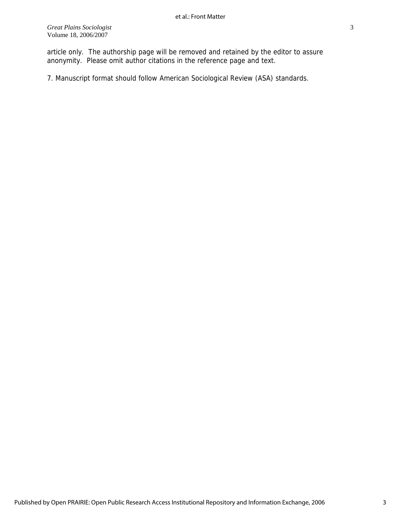article only. The authorship page will be removed and retained by the editor to assure anonymity. Please omit author citations in the reference page and text.

7. Manuscript format should follow American Sociological Review (ASA) standards.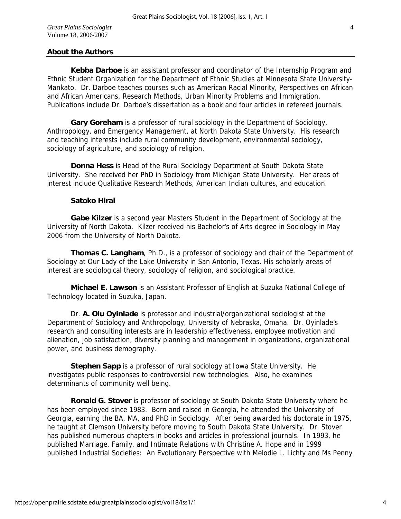### **About the Authors**

**Kebba Darboe** is an assistant professor and coordinator of the Internship Program and Ethnic Student Organization for the Department of Ethnic Studies at Minnesota State University-Mankato. Dr. Darboe teaches courses such as American Racial Minority, Perspectives on African and African Americans, Research Methods, Urban Minority Problems and Immigration. Publications include Dr. Darboe's dissertation as a book and four articles in refereed journals.

**Gary Goreham** is a professor of rural sociology in the Department of Sociology, Anthropology, and Emergency Management, at North Dakota State University. His research and teaching interests include rural community development, environmental sociology, sociology of agriculture, and sociology of religion.

**Donna Hess** is Head of the Rural Sociology Department at South Dakota State University. She received her PhD in Sociology from Michigan State University. Her areas of interest include Qualitative Research Methods, American Indian cultures, and education.

#### **Satoko Hirai**

**Gabe Kilzer** is a second year Masters Student in the Department of Sociology at the University of North Dakota. Kilzer received his Bachelor's of Arts degree in Sociology in May 2006 from the University of North Dakota.

**Thomas C. Langham**, Ph.D., is a professor of sociology and chair of the Department of Sociology at Our Lady of the Lake University in San Antonio, Texas. His scholarly areas of interest are sociological theory, sociology of religion, and sociological practice.

**Michael E. Lawson** is an Assistant Professor of English at Suzuka National College of Technology located in Suzuka, Japan.

 Dr. **A. Olu Oyinlade** is professor and industrial/organizational sociologist at the Department of Sociology and Anthropology, University of Nebraska, Omaha. Dr. Oyinlade's research and consulting interests are in leadership effectiveness, employee motivation and alienation, job satisfaction, diversity planning and management in organizations, organizational power, and business demography.

**Stephen Sapp** is a professor of rural sociology at Iowa State University. He investigates public responses to controversial new technologies. Also, he examines determinants of community well being.

**Ronald G. Stover** is professor of sociology at South Dakota State University where he has been employed since 1983. Born and raised in Georgia, he attended the University of Georgia, earning the BA, MA, and PhD in Sociology. After being awarded his doctorate in 1975, he taught at Clemson University before moving to South Dakota State University. Dr. Stover has published numerous chapters in books and articles in professional journals. In 1993, he published Marriage, Family, and Intimate Relations with Christine A. Hope and in 1999 published Industrial Societies: An Evolutionary Perspective with Melodie L. Lichty and Ms Penny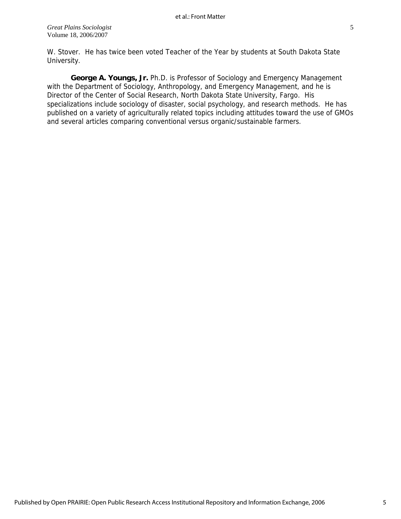W. Stover. He has twice been voted Teacher of the Year by students at South Dakota State University.

**George A. Youngs, Jr.** Ph.D. is Professor of Sociology and Emergency Management with the Department of Sociology, Anthropology, and Emergency Management, and he is Director of the Center of Social Research, North Dakota State University, Fargo. His specializations include sociology of disaster, social psychology, and research methods. He has published on a variety of agriculturally related topics including attitudes toward the use of GMOs and several articles comparing conventional versus organic/sustainable farmers.